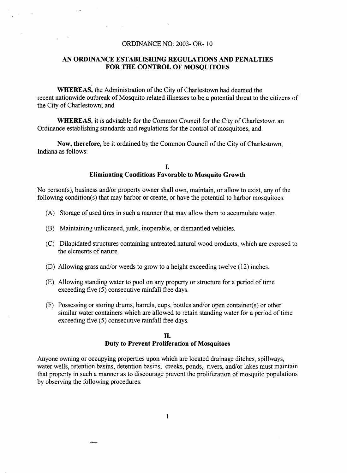## ORDINANCE NO: 2003- OR- 10

## *AN* **ORDINANCE ESTABLISHING REGULATIONS** AND **PENALTIES FOR THE CONTROL OF MOSQUITOES**

**WHEREAS,** the Administration of the City of Charlestown had deemed the recent nationwide outbreak of Mosquito related illnesses to be a potential threat to the citizens of the City of Charlestown; and

**WHEREAS,** it is advisable for the Common Council for the City of Charlestown an Ordinance establishing standards and regulations for the control of mosquitoes, and

**Now, therefore,** be it ordained by the Common Council of the City of Charlestown, Indiana **as** follows:

### **I. Eliminating Conditions Favorable to Mosquito Growth**

No person(s), business and/or property owner shall own, maintain, or allow to exist, any of the following condition(s) that may harbor or create, or have the potential to harbor mosquitoes:

- **(A)** Storage of used tires in such a manner that may allow them to accumulate water.
- (B) Maintaining unlicensed, junk, inoperable, or dismantled vehicles.
- (C) Dilapidated structures containing untreated natural wood products, which are exposed to the elements of nature.
- (D) Allowing grass and/or weeds to grow to a height exceeding twelve (12) inches.
- (E) Allowing standing water to pool on any property or structure for a period of time exceeding five (5) consecutive rainfall free days.
- (F) Possessing or storing drums, barrels, cups, bottles and/or open container(s) or other similar water containers which are allowed to retain standing water for a period of time exceeding five (5) consecutive rainfall free days.

## **II. Duty to Prevent Proliferation of Mosquitoes**

Anyone owning or occupying properties upon which are located drainage ditches, spillways, water wells, retention basins, detention basins, creeks, ponds, rivers, and/or lakes must maintain that property in such a manner as to discourage prevent the proliferation of mosquito populations by observing the following procedures:

ستحجز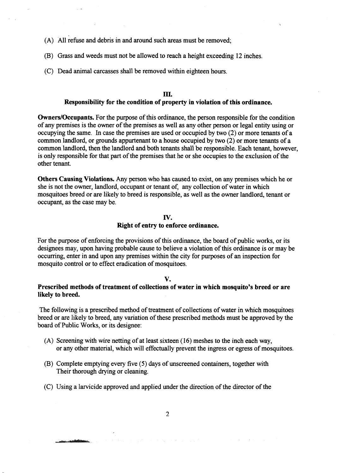- **(A)** All refuse and debris in and around such areas must be removed;
- (B) Grass and weeds must not be allowed to reach a height exceeding 12 inches.
- (C) Dead animal carcasses shall be removed within eighteen hours.

#### **III.**

### **Responsibility for the condition of property in violation of this ordinance.**

**Owners/Occupants.** For the purpose of this ordinance, the person responsible for the condition of any premises **is** the owner of the premises as well as any other person or legal entity using or occupying the same. In case the premises are used or occupied by two **(2)** or more tenants of a common landlord, or grounds appurtenant to a house occupied by two **(2)** or more tenants of a common landlord, then the landlord and both tenants shall be responsible. Each tenant, however, is **only** responsible for that part of the premises that he or she occupies to the exclusion of the other tenant.

**Others Causing Violations. Any person** who has caused to exist, on **any** premises **which** he **OT**  she is not the owner, landlord, occupant or tenant of, any collection of water in which mosquitoes breed **or** are likely to breed is responsible, *as* well **as** the owner landlord, tenant or occupant, as the case may be.

### **IV.**

## **Right of entry to enforce ordinance.**

For the purpose of enforcing the provisions of this ordinance, the board of public works, or its designees may, upon having probable cause to believe a violation of this ordinance **is** or may be occurring, enter in and upon any premises within the city for purposes of an inspection for mosquito control or to effect eradication of mosquitoes.

#### **V.**

## **Prescribed methods of treatment of collections of water in which mosquito's breed or are likely to breed.**

The following is a prescribed method of treatment of collections of water in which mosquitoes breed or are likely to breed, any variation of these prescribed methods must be approved by the board **of** Public Works, or its designee:

- **(A)** Screening with wire netting of at least sixteen **(16)** meshes to the inch each way, or any other material, which will effectually prevent the ingress or egress of mosquitoes.
- (B) Complete emptying every five *(5)* days of unscreened containers, together with Their thorough drying or cleaning.
- (C) Using a larvicide approved and applied under the direction of the director of the

ستحكمات ..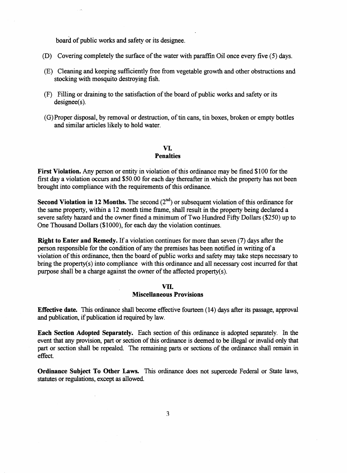board of public works and safety or its designee.

- (D) Covering completely the surface of the water with paraffin Oil once every five *(5)* days.
- (E) Cleaning and keeping sufficiently free from vegetable growth and other obstructions and stocking with mosquito destroying fish.
- (F) Filling or draining to the satisfaction of the board of public works and safety or its designee(s).
- (G) Proper disposal, by removal or destruction, of tin cans, tin boxes, broken or empty bottles and similar articles likely to hold water.

# **VI.**

### **Penalties**

**First Violation.** Any person or entity in violation of **this** ordinance may be fined \$100 for the first day a violation occurs and \$50.00 for each day thereafter in which the property has not been brought into compliance with the requirements of **this** ordinance.

Second Violation in 12 Months. The second (2<sup>nd</sup>) or subsequent violation of this ordinance for the same property, within a 12 month time frame, shall result in the property being declared a severe safety hazard and the owner fined a minimum of Two Hundred Fifty Dollars (\$250) up to One Thousand Dollars **(\$lOOO),** for each day the violation continues.

**Right to Enter and Remedy.** If a violation continues for more than seven (7) days after the person responsible for the condition of any the premises has been notified in writing of a violation of this ordinance, then the board of public works and safety may take steps necessary to bring the property(s) into compliance with **this** ordinance and all necessary cost incurred for that purpose shall be a charge against the owner of the affected property(s).

#### **VII. Miscellaneous Provisions**

**Effective date. This** ordinance shall become effective fourteen (14) days after its passage, approval and publication, if publication id required by law.

**Each Section Adopted Separately.** Each section of **this** ordinance is adopted separately. In the event that any provision, **part** or section of **this** ordinance is deemed to be illegal or invalid only that **part** or section shall be repealed. The remaining **parts** or sections of the ordinance shall remain in effect.

**Ordinance Subject To Other Laws. This** ordinance does not supercede Federal or State laws, **statutes** or regulations, except **as** allowed